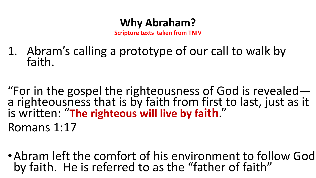**Scripture texts taken from TNIV**

- 1. Abram's calling a prototype of our call to walk by faith.
- "For in the gospel the righteousness of God is revealed a righteousness that is by faith from first to last, just as it is written: "**The righteous will live by faith**." Romans 1:17
- •Abram left the comfort of his environment to follow God by faith. He is referred to as the "father of faith"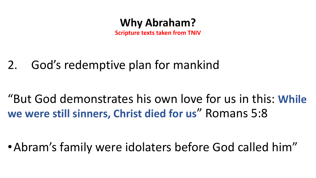

**Scripture texts taken from TNIV**

# 2. God's redemptive plan for mankind

# "But God demonstrates his own love for us in this: **While we were still sinners, Christ died for us**" Romans 5:8

•Abram's family were idolaters before God called him"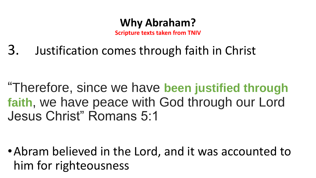**Scripture texts taken from TNIV**

3. Justification comes through faith in Christ

"Therefore, since we have **been justified through faith**, we have peace with God through our Lord Jesus Christ" Romans 5:1

•Abram believed in the Lord, and it was accounted to him for righteousness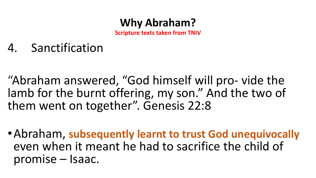**Scripture texts taken from TNIV**

**5. Sanctification** 

"Abraham answered, "God himself will pro- vide the lamb for the burnt offering, my son." And the two of them went on together". Genesis 22:8

•Abraham, **subsequently learnt to trust God unequivocally** even when it meant he had to sacrifice the child of promise – Isaac.